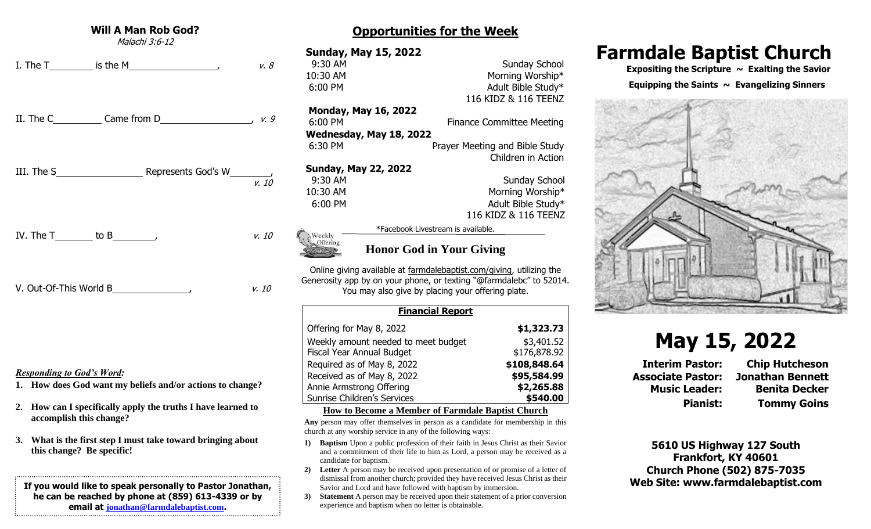| <b>Will A Man Rob God?</b><br>Malachi 3:6-12                                                                                                                                                                                                                                            |       |  |
|-----------------------------------------------------------------------------------------------------------------------------------------------------------------------------------------------------------------------------------------------------------------------------------------|-------|--|
|                                                                                                                                                                                                                                                                                         | V. 8  |  |
|                                                                                                                                                                                                                                                                                         |       |  |
|                                                                                                                                                                                                                                                                                         | V. 10 |  |
| IV. The $T$ to B $\overline{\phantom{a}}$ ,                                                                                                                                                                                                                                             | v. 10 |  |
|                                                                                                                                                                                                                                                                                         | V. 10 |  |
| <b>Responding to God's Word:</b><br>1. How does God want my beliefs and/or actions to change?<br>2. How can I specifically apply the truths I have learned to<br>accomplish this change?<br>3.<br>What is the first step I must take toward bringing about<br>this change? Be specific! |       |  |
| If you would like to speak personally to Pastor Jonathan,                                                                                                                                                                                                                               |       |  |

**he can be reached by phone at (859) 613-4339 or by email at [jonathan@farmdalebaptist.com](mailto:jonathan@farmdalebaptist.com).**

**Opportunities for the Week Sunday, May 15, 2022 9:30 AM** Sunday School 10:30 AM Morning Worship\* 6:00 PM Adult Bible Study\* 116 KIDZ & 116 TEENZ **Monday, May 16, 2022** 6:00 PM Finance Committee Meeting **Wednesday, May 18, 2022** 6:30 PM Prayer Meeting and Bible Study Children in Action **Sunday, May 22, 2022 9:30 AM Sunday School** 10:30 AM Morning Worship\* 6:00 PM Adult Bible Study\* 116 KIDZ & 116 TEENZ \*Facebook Livestream is available. Weekly Offering **Honor God in Your Giving** Online giving available at farmdalebaptist.com/giving, utilizing the Generosity app by on your phone, or texting "@farmdalebc" to 52014. You may also give by placing your offering plate. **Financial Report**

Offering for May 8, 2022 **\$1,323.73** Weekly amount needed to meet budget \$3,401.52 Fiscal Year Annual Budget \$176,878.92 Required as of May 8, 2022 **\$108,848.64** Received as of May 8, 2022 **\$95,584.99** Annie Armstrong Offering **\$2,265.88** Sunrise Children's Services **\$540.00**

#### **How to Become a Member of Farmdale Baptist Church**

**Any** person may offer themselves in person as a candidate for membership in this church at any worship service in any of the following ways:

- **1) Baptism** Upon a public profession of their faith in Jesus Christ as their Savior and a commitment of their life to him as Lord, a person may be received as a candidate for baptism.
- **2) Letter** A person may be received upon presentation of or promise of a letter of dismissal from another church; provided they have received Jesus Christ as their Savior and Lord and have followed with baptism by immersion.
- **3) Statement** A person may be received upon their statement of a prior conversion experience and baptism when no letter is obtainable.

# **Farmdale Baptist Church**

 **Expositing the Scripture ~ Exalting the Savior**

#### Equipping the Saints  $\sim$  Evangelizing Sinners



# **May 15, 2022**

**Interim Pastor: Chip Hutcheson Associate Pastor: Jonathan Bennett Music Leader: Benita Decker Pianist: Tommy Goins**

**5610 US Highway 127 South Frankfort, KY 40601 Church Phone (502) 875-7035 Web Site: www.farmdalebaptist.com**